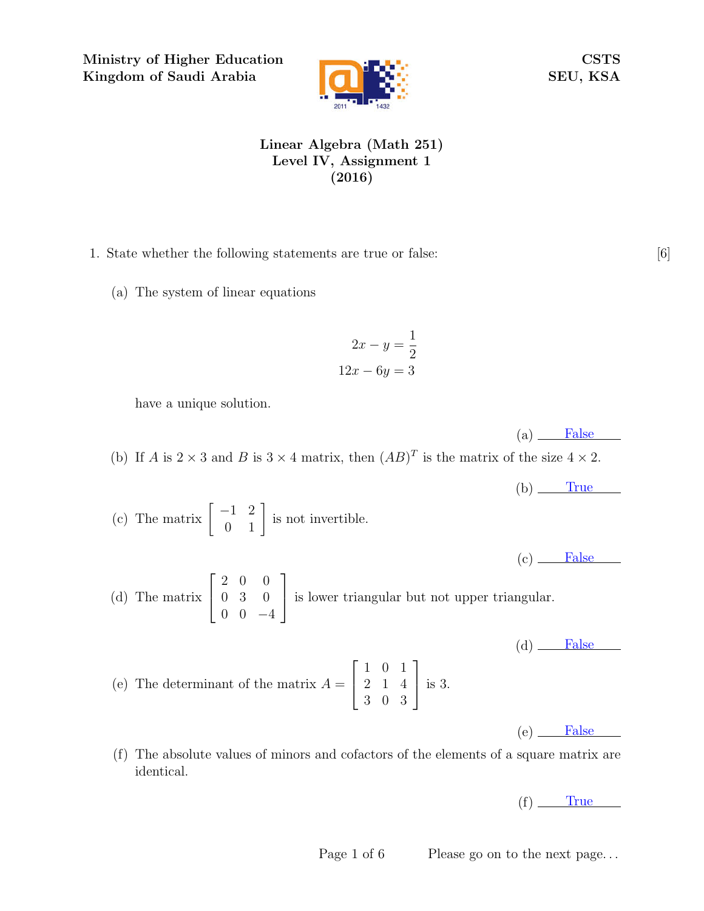Ministry of Higher Education Kingdom of Saudi Arabia



CSTS SEU, KSA

## Linear Algebra (Math 251) Level IV, Assignment 1 (2016)

- 1. State whether the following statements are true or false: [6]
	- (a) The system of linear equations

$$
2x - y = \frac{1}{2}
$$

$$
12x - 6y = 3
$$

have a unique solution.

 $(a)$  False (b) If A is  $2 \times 3$  and B is  $3 \times 4$  matrix, then  $(AB)^T$  is the matrix of the size  $4 \times 2$ .

 $(b)$  True (c) The matrix  $\begin{bmatrix} -1 & 2 \\ 0 & 1 \end{bmatrix}$  is not invertible.  $(c)$  False (d) The matrix  $\sqrt{ }$  $\overline{1}$ 2 0 0 0 3 0  $0 \t 0 \t -4$ 1 is lower triangular but not upper triangular.  $(d)$  False (e) The determinant of the matrix  $A =$  $\sqrt{ }$  $\overline{\phantom{a}}$ 1 0 1 2 1 4 3 0 3 1 is 3.

 $(e)$  False

(f) The absolute values of minors and cofactors of the elements of a square matrix are identical.

 $(f)$  True

Page 1 of 6 Please go on to the next page...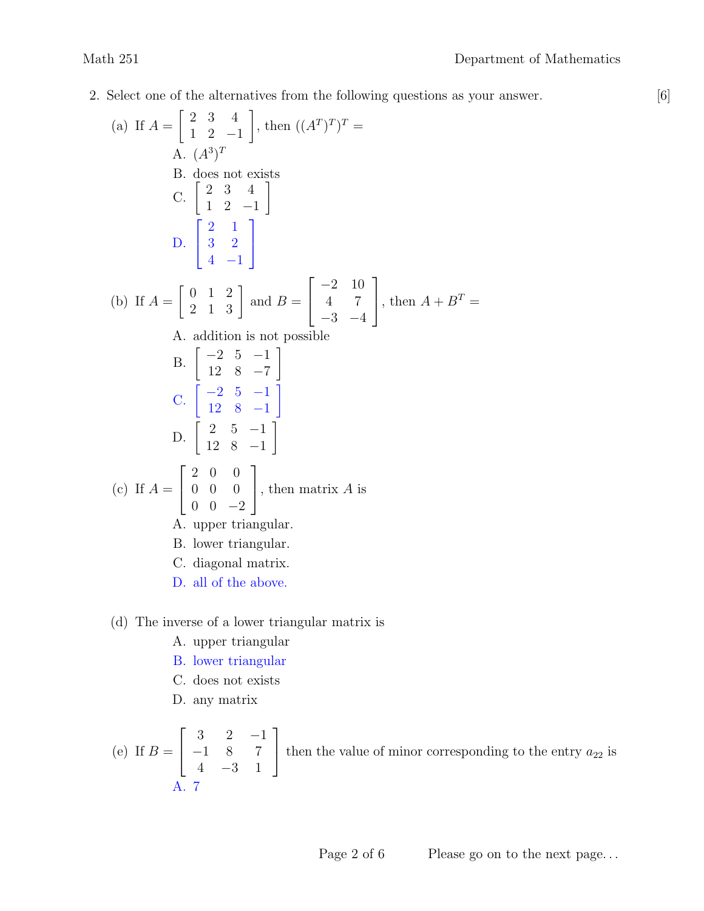2. Select one of the alternatives from the following questions as your answer. [6]

(a) If 
$$
A = \begin{bmatrix} 2 & 3 & 4 \ 1 & 2 & -1 \end{bmatrix}
$$
, then  $((A^T)^T)^T =$   
\nA.  $(A^3)^T$   
\nB. does not exists  
\nC.  $\begin{bmatrix} 2 & 3 & 4 \ 1 & 2 & -1 \end{bmatrix}$   
\nD.  $\begin{bmatrix} 2 & 1 \ 3 & 2 \ 4 & -1 \end{bmatrix}$   
\n(b) If  $A = \begin{bmatrix} 0 & 1 & 2 \ 2 & 1 & 3 \end{bmatrix}$  and  $B = \begin{bmatrix} -2 & 10 \ 4 & 7 \ -3 & -4 \end{bmatrix}$ , then  $A + B^T =$   
\nA. addition is not possible  
\nB.  $\begin{bmatrix} -2 & 5 & -1 \ 12 & 8 & -7 \ 12 & 8 & -1 \end{bmatrix}$   
\nC.  $\begin{bmatrix} -2 & 5 & -1 \ 12 & 8 & -1 \ 12 & 8 & -1 \end{bmatrix}$   
\n(c) If  $A = \begin{bmatrix} 2 & 0 & 0 \ 0 & 0 & 0 \ 0 & 0 & -2 \end{bmatrix}$ , then matrix A is  
\nA. upper triangular.  
\nB. lower triangular.  
\nC. diagonal matrix.  
\nD. all of the above.

- (d) The inverse of a lower triangular matrix is
	- A. upper triangular
	- B. lower triangular
	- C. does not exists
	- D. any matrix

(e) If 
$$
B = \begin{bmatrix} 3 & 2 & -1 \\ -1 & 8 & 7 \\ 4 & -3 & 1 \end{bmatrix}
$$
 then the value of minor corresponding to the entry  $a_{22}$  is A. 7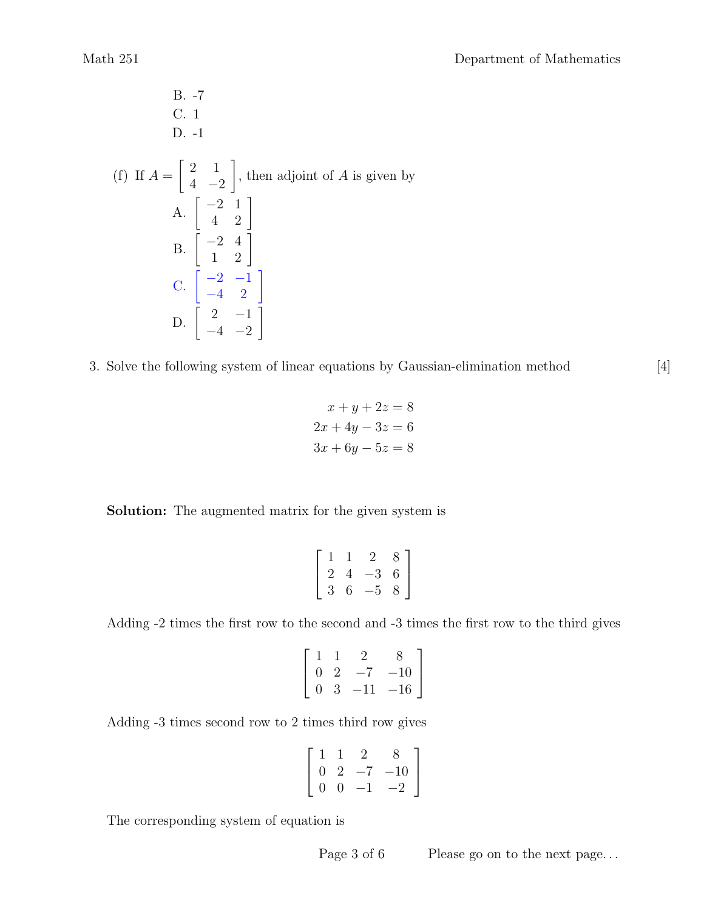B. -7  
\nC. 1  
\nD. -1  
\n(f) If 
$$
A = \begin{bmatrix} 2 & 1 \\ 4 & -2 \end{bmatrix}
$$
, then adjoint of A is given by  
\nA.  $\begin{bmatrix} -2 & 1 \\ 4 & 2 \end{bmatrix}$   
\nB.  $\begin{bmatrix} -2 & 4 \\ 1 & 2 \end{bmatrix}$   
\nC.  $\begin{bmatrix} -2 & -1 \\ -4 & 2 \end{bmatrix}$   
\nD.  $\begin{bmatrix} 2 & -1 \\ -4 & -2 \end{bmatrix}$ 

3. Solve the following system of linear equations by Gaussian-elimination method [4]

$$
x + y + 2z = 8
$$
  

$$
2x + 4y - 3z = 6
$$
  

$$
3x + 6y - 5z = 8
$$

Solution: The augmented matrix for the given system is

$$
\left[\begin{array}{rrrr} 1 & 1 & 2 & 8 \\ 2 & 4 & -3 & 6 \\ 3 & 6 & -5 & 8 \end{array}\right]
$$

Adding -2 times the first row to the second and -3 times the first row to the third gives

$$
\left[\begin{array}{rrr} 1 & 1 & 2 & 8 \\ 0 & 2 & -7 & -10 \\ 0 & 3 & -11 & -16 \end{array}\right]
$$

Adding -3 times second row to 2 times third row gives

$$
\left[\begin{array}{rrrr} 1 & 1 & 2 & 8 \\ 0 & 2 & -7 & -10 \\ 0 & 0 & -1 & -2 \end{array}\right]
$$

The corresponding system of equation is

Page 3 of 6 Please go on to the next page...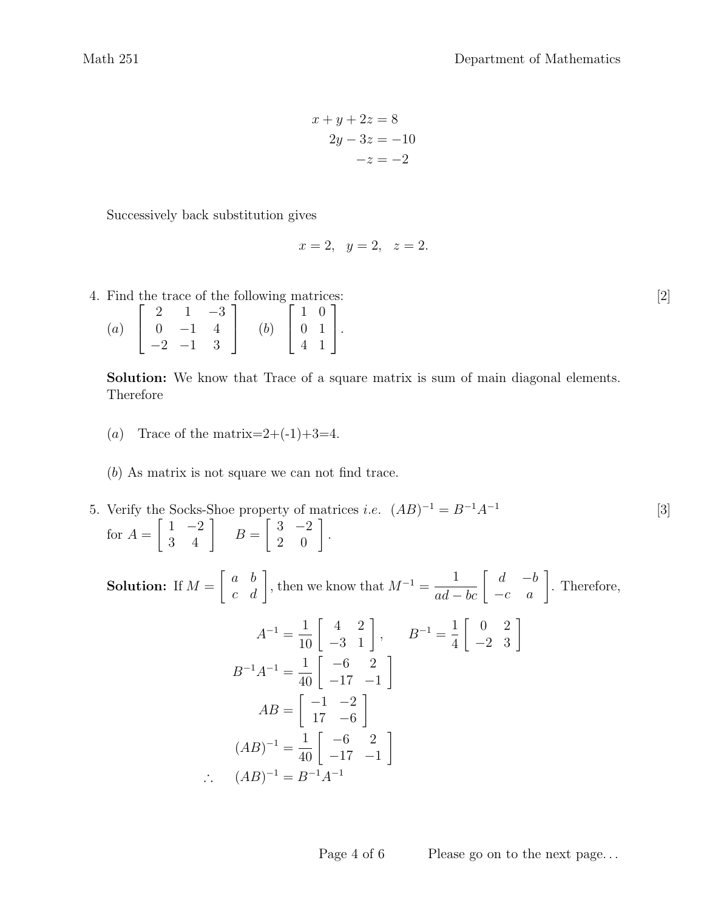$$
x+y+2z = 8
$$

$$
2y-3z = -10
$$

$$
-z = -2
$$

Successively back substitution gives

$$
x = 2, y = 2, z = 2.
$$

4. Find the trace of the following matrices: [2]

|                   |                                            |             | $2 \t1 -3$ |     |                                                                       |  |
|-------------------|--------------------------------------------|-------------|------------|-----|-----------------------------------------------------------------------|--|
| $\left( a\right)$ | $\begin{vmatrix} 0 & -1 & 4 \end{vmatrix}$ |             |            | (b) |                                                                       |  |
|                   |                                            | $-2$ $-1$ 3 |            |     | $\left[\begin{array}{cc} 1 & 0 \\ 0 & 1 \\ 4 & 1 \end{array}\right].$ |  |

Solution: We know that Trace of a square matrix is sum of main diagonal elements. Therefore

- (a) Trace of the matrix= $2+(-1)+3=4$ .
- (b) As matrix is not square we can not find trace.
- 5. Verify the Socks-Shoe property of matrices *i.e.*  $(AB)^{-1} = B^{-1}A^{-1}$  [3] for  $A =$  $\begin{bmatrix} 1 & -2 \\ 3 & 4 \end{bmatrix}$   $B=$  $\left[\begin{array}{cc} 3 & -2 \\ 2 & 0 \end{array}\right].$

Solution: If  $M =$  $\begin{bmatrix} a & b \\ c & d \end{bmatrix}$ , then we know that  $M^{-1} = \frac{1}{ad - bc} \begin{bmatrix} d & -b \\ -c & a \end{bmatrix}$ . Therefore,

$$
A^{-1} = \frac{1}{10} \begin{bmatrix} 4 & 2 \\ -3 & 1 \end{bmatrix}, \qquad B^{-1} = \frac{1}{4} \begin{bmatrix} 0 & 2 \\ -2 & 3 \end{bmatrix}
$$

$$
B^{-1}A^{-1} = \frac{1}{40} \begin{bmatrix} -6 & 2 \\ -17 & -1 \end{bmatrix}
$$

$$
AB = \begin{bmatrix} -1 & -2 \\ 17 & -6 \end{bmatrix}
$$

$$
(AB)^{-1} = \frac{1}{40} \begin{bmatrix} -6 & 2 \\ -17 & -1 \end{bmatrix}
$$

$$
\therefore (AB)^{-1} = B^{-1}A^{-1}
$$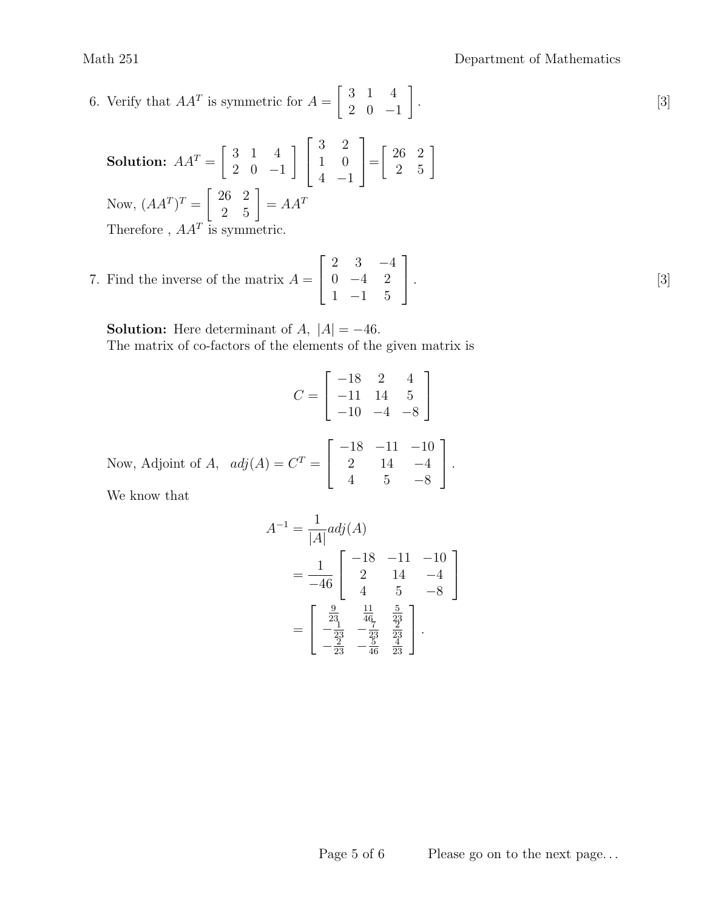6. Verify that  $AA^T$  is symmetric for  $A = \begin{bmatrix} 3 & 1 & 4 \\ 2 & 0 & 1 \end{bmatrix}$ . [3]  $\begin{bmatrix} 3 & 1 & 4 \end{bmatrix}$ 2 0 −1 1 .

**Solution:** 
$$
AA^T = \begin{bmatrix} 3 & 1 & 4 \\ 2 & 0 & -1 \end{bmatrix} \begin{bmatrix} 3 & 2 \\ 1 & 0 \\ 4 & -1 \end{bmatrix} = \begin{bmatrix} 26 & 2 \\ 2 & 5 \end{bmatrix}
$$
  
Now,  $(AA^T)^T = \begin{bmatrix} 26 & 2 \\ 2 & 5 \end{bmatrix} = AA^T$   
Therefore,  $AA^T$  is symmetric.

7. Find the inverse of the matrix  $A = \begin{bmatrix} 0 & -4 & 2 \end{bmatrix}$ . [3]  $\lceil$  $\overline{1}$ 2 3 −4  $0 -4 2$ 1 −1 5 1  $\vert \cdot$ 

**Solution:** Here determinant of  $A$ ,  $|A| = -46$ . The matrix of co-factors of the elements of the given matrix is

$$
C = \begin{bmatrix} -18 & 2 & 4 \\ -11 & 14 & 5 \\ -10 & -4 & -8 \end{bmatrix}
$$
  
Now, Adjoint of *A*,  $adj(A) = C^{T} = \begin{bmatrix} -18 & -11 & -10 \\ 2 & 14 & -4 \\ 4 & 5 & -8 \end{bmatrix}$ .

We know that

$$
A^{-1} = \frac{1}{|A|} adj(A)
$$
  
= 
$$
\frac{1}{-46} \begin{bmatrix} -18 & -11 & -10 \ 2 & 14 & -4 \ 4 & 5 & -8 \end{bmatrix}
$$
  
= 
$$
\begin{bmatrix} \frac{9}{23} & \frac{11}{46} & \frac{5}{23} \\ -\frac{1}{23} & -\frac{7}{23} & \frac{2}{23} \\ -\frac{2}{23} & -\frac{5}{46} & \frac{4}{23} \end{bmatrix}.
$$